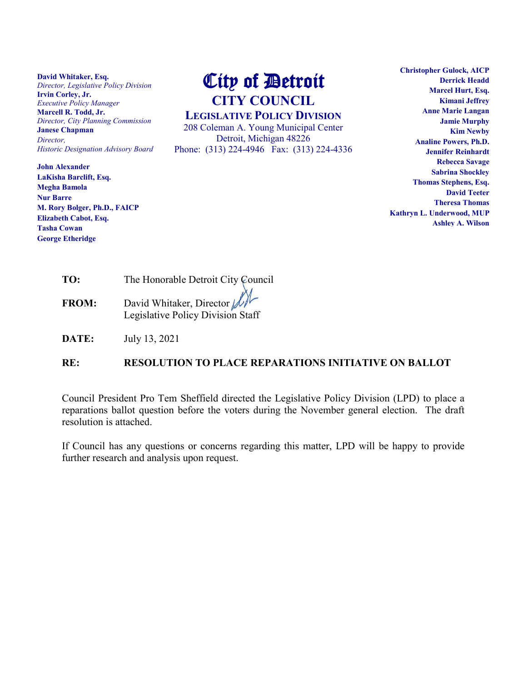**David Whitaker, Esq.** *Director, Legislative Policy Division* **Irvin Corley, Jr.** *Executive Policy Manager* **Marcell R. Todd, Jr.** *Director, City Planning Commission* **Janese Chapman** *Director, Historic Designation Advisory Board*

**John Alexander LaKisha Barclift, Esq. Megha Bamola Nur Barre M. Rory Bolger, Ph.D., FAICP Elizabeth Cabot, Esq. Tasha Cowan George Etheridge**

## City of Detroit **CITY COUNCIL**

**LEGISLATIVE POLICY DIVISION**

208 Coleman A. Young Municipal Center Detroit, Michigan 48226 Phone: (313) 224-4946 Fax: (313) 224-4336

**Christopher Gulock, AICP Derrick Headd Marcel Hurt, Esq. Kimani Jeffrey Anne Marie Langan Jamie Murphy Kim Newby Analine Powers, Ph.D. Jennifer Reinhardt Rebecca Savage Sabrina Shockley Thomas Stephens, Esq. David Teeter Theresa Thomas Kathryn L. Underwood, MUP Ashley A. Wilson**

| TO:         | The Honorable Detroit City Council |
|-------------|------------------------------------|
| <b>TDAI</b> | M<br>11111111111                   |

**FROM:** David Whitaker, Director  $M^{\gamma}$ Legislative Policy Division Staff

**DATE:** July 13, 2021

## **RE: RESOLUTION TO PLACE REPARATIONS INITIATIVE ON BALLOT**

Council President Pro Tem Sheffield directed the Legislative Policy Division (LPD) to place a reparations ballot question before the voters during the November general election. The draft resolution is attached.

If Council has any questions or concerns regarding this matter, LPD will be happy to provide further research and analysis upon request.